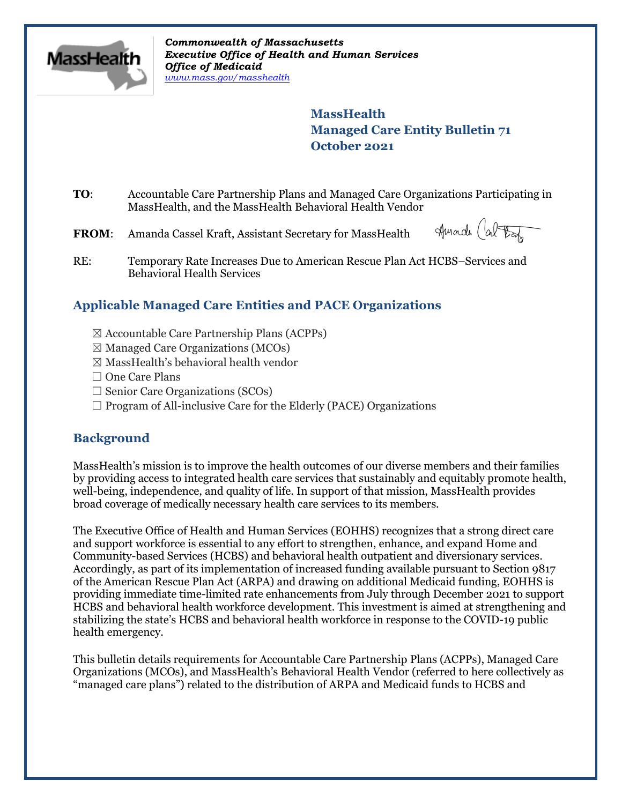

*Commonwealth of Massachusetts Executive Office of Health and Human Services Office of Medicaid [www.mass.gov/masshealth](http://www.mass.gov/masshealth)*

> **MassHealth Managed Care Entity Bulletin 71 October 2021**

**TO**: Accountable Care Partnership Plans and Managed Care Organizations Participating in MassHealth, and the MassHealth Behavioral Health Vendor

**FROM**: Amanda Cassel Kraft, Assistant Secretary for MassHealth

Amade Cal took

RE: Temporary Rate Increases Due to American Rescue Plan Act HCBS–Services and Behavioral Health Services

# **Applicable Managed Care Entities and PACE Organizations**

- ☒ Accountable Care Partnership Plans (ACPPs)
- $\boxtimes$  Managed Care Organizations (MCOs)
- ☒ MassHealth's behavioral health vendor
- □ One Care Plans
- $\Box$  Senior Care Organizations (SCOs)
- $\Box$  Program of All-inclusive Care for the Elderly (PACE) Organizations

# **Background**

MassHealth's mission is to improve the health outcomes of our diverse members and their families by providing access to integrated health care services that sustainably and equitably promote health, well-being, independence, and quality of life. In support of that mission, MassHealth provides broad coverage of medically necessary health care services to its members.

The Executive Office of Health and Human Services (EOHHS) recognizes that a strong direct care and support workforce is essential to any effort to strengthen, enhance, and expand Home and Community-based Services (HCBS) and behavioral health outpatient and diversionary services. Accordingly, as part of its implementation of increased funding available pursuant to Section 9817 of the American Rescue Plan Act (ARPA) and drawing on additional Medicaid funding, EOHHS is providing immediate time-limited rate enhancements from July through December 2021 to support HCBS and behavioral health workforce development. This investment is aimed at strengthening and stabilizing the state's HCBS and behavioral health workforce in response to the COVID-19 public health emergency.

This bulletin details requirements for Accountable Care Partnership Plans (ACPPs), Managed Care Organizations (MCOs), and MassHealth's Behavioral Health Vendor (referred to here collectively as "managed care plans") related to the distribution of ARPA and Medicaid funds to HCBS and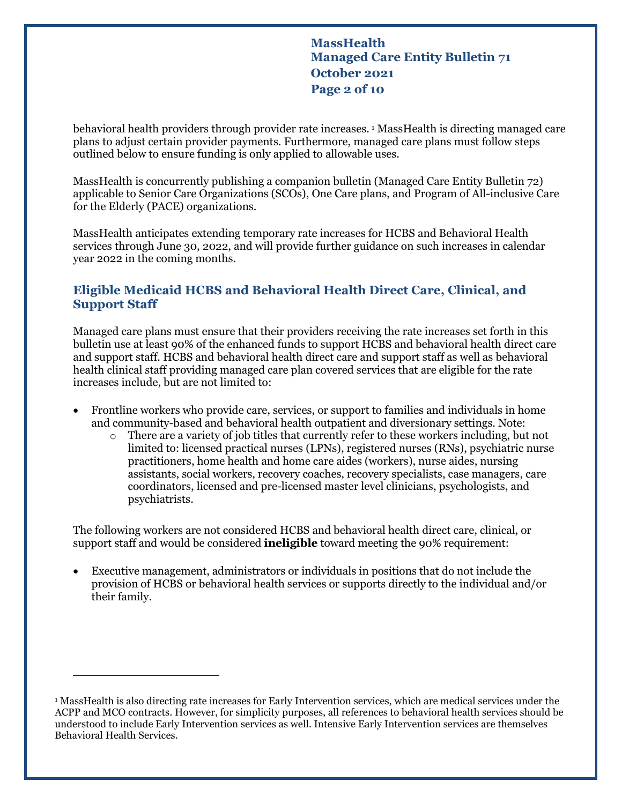**MassHealth Managed Care Entity Bulletin 71 October 2021 Page 2 of 10**

behavioral health providers through provider rate increases.<sup>[1](#page-1-0)</sup> MassHealth is directing managed care plans to adjust certain provider payments. Furthermore, managed care plans must follow steps outlined below to ensure funding is only applied to allowable uses.

MassHealth is concurrently publishing a companion bulletin (Managed Care Entity Bulletin 72) applicable to Senior Care Organizations (SCOs), One Care plans, and Program of All-inclusive Care for the Elderly (PACE) organizations.

MassHealth anticipates extending temporary rate increases for HCBS and Behavioral Health services through June 30, 2022, and will provide further guidance on such increases in calendar year 2022 in the coming months.

### **Eligible Medicaid HCBS and Behavioral Health Direct Care, Clinical, and Support Staff**

Managed care plans must ensure that their providers receiving the rate increases set forth in this bulletin use at least 90% of the enhanced funds to support HCBS and behavioral health direct care and support staff. HCBS and behavioral health direct care and support staff as well as behavioral health clinical staff providing managed care plan covered services that are eligible for the rate increases include, but are not limited to:

- Frontline workers who provide care, services, or support to families and individuals in home and community-based and behavioral health outpatient and diversionary settings. Note:
	- o There are a variety of job titles that currently refer to these workers including, but not limited to: licensed practical nurses (LPNs), registered nurses (RNs), psychiatric nurse practitioners, home health and home care aides (workers), nurse aides, nursing assistants, social workers, recovery coaches, recovery specialists, case managers, care coordinators, licensed and pre-licensed master level clinicians, psychologists, and psychiatrists.

The following workers are not considered HCBS and behavioral health direct care, clinical, or support staff and would be considered **ineligible** toward meeting the 90% requirement:

• Executive management, administrators or individuals in positions that do not include the provision of HCBS or behavioral health services or supports directly to the individual and/or their family.

 $\overline{a}$ 

<span id="page-1-0"></span><sup>1</sup> MassHealth is also directing rate increases for Early Intervention services, which are medical services under the ACPP and MCO contracts. However, for simplicity purposes, all references to behavioral health services should be understood to include Early Intervention services as well. Intensive Early Intervention services are themselves Behavioral Health Services.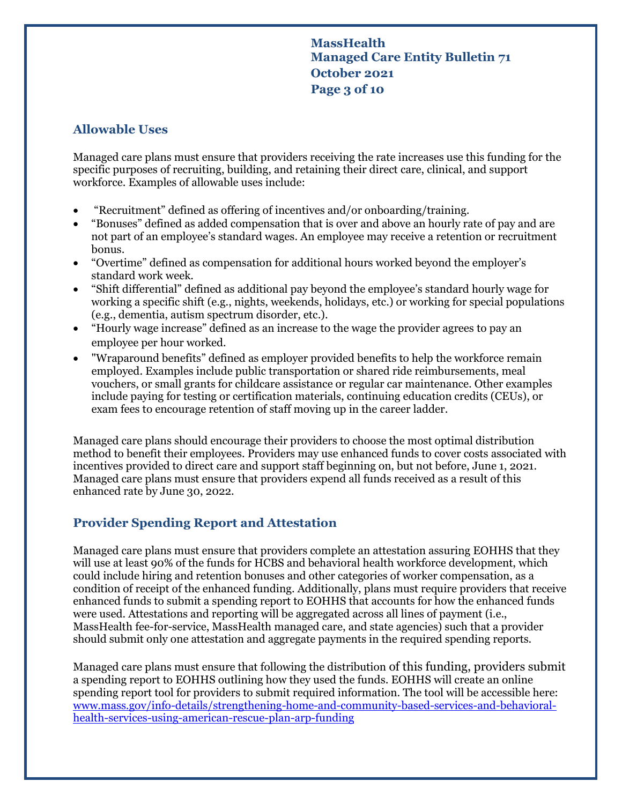# **MassHealth Managed Care Entity Bulletin 71 October 2021 Page 3 of 10**

### **Allowable Uses**

Managed care plans must ensure that providers receiving the rate increases use this funding for the specific purposes of recruiting, building, and retaining their direct care, clinical, and support workforce. Examples of allowable uses include:

- "Recruitment" defined as offering of incentives and/or onboarding/training.
- "Bonuses" defined as added compensation that is over and above an hourly rate of pay and are not part of an employee's standard wages. An employee may receive a retention or recruitment bonus.
- "Overtime" defined as compensation for additional hours worked beyond the employer's standard work week.
- "Shift differential" defined as additional pay beyond the employee's standard hourly wage for working a specific shift (e.g., nights, weekends, holidays, etc.) or working for special populations (e.g., dementia, autism spectrum disorder, etc.).
- "Hourly wage increase" defined as an increase to the wage the provider agrees to pay an employee per hour worked.
- "Wraparound benefits" defined as employer provided benefits to help the workforce remain employed. Examples include public transportation or shared ride reimbursements, meal vouchers, or small grants for childcare assistance or regular car maintenance. Other examples include paying for testing or certification materials, continuing education credits (CEUs), or exam fees to encourage retention of staff moving up in the career ladder.

Managed care plans should encourage their providers to choose the most optimal distribution method to benefit their employees. Providers may use enhanced funds to cover costs associated with incentives provided to direct care and support staff beginning on, but not before, June 1, 2021. Managed care plans must ensure that providers expend all funds received as a result of this enhanced rate by June 30, 2022.

# **Provider Spending Report and Attestation**

Managed care plans must ensure that providers complete an attestation assuring EOHHS that they will use at least 90% of the funds for HCBS and behavioral health workforce development, which could include hiring and retention bonuses and other categories of worker compensation, as a condition of receipt of the enhanced funding. Additionally, plans must require providers that receive enhanced funds to submit a spending report to EOHHS that accounts for how the enhanced funds were used. Attestations and reporting will be aggregated across all lines of payment (i.e., MassHealth fee-for-service, MassHealth managed care, and state agencies) such that a provider should submit only one attestation and aggregate payments in the required spending reports.

Managed care plans must ensure that following the distribution of this funding, providers submit a spending report to EOHHS outlining how they used the funds. EOHHS will create an online spending report tool for providers to submit required information. The tool will be accessible here: [www.mass.gov/info-details/strengthening-home-and-community-based-services-and-behavioral](http://www.mass.gov/info-details/strengthening-home-and-community-based-services-and-behavioral-health-services-using-american-rescue-plan-arp-funding)[health-services-using-american-rescue-plan-arp-funding](http://www.mass.gov/info-details/strengthening-home-and-community-based-services-and-behavioral-health-services-using-american-rescue-plan-arp-funding)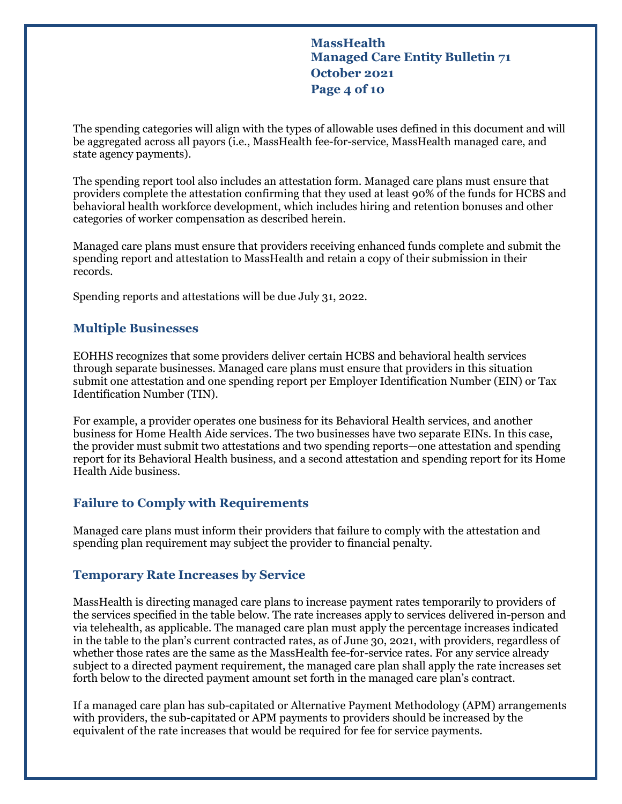**MassHealth Managed Care Entity Bulletin 71 October 2021 Page 4 of 10**

The spending categories will align with the types of allowable uses defined in this document and will be aggregated across all payors (i.e., MassHealth fee-for-service, MassHealth managed care, and state agency payments).

The spending report tool also includes an attestation form. Managed care plans must ensure that providers complete the attestation confirming that they used at least 90% of the funds for HCBS and behavioral health workforce development, which includes hiring and retention bonuses and other categories of worker compensation as described herein.

Managed care plans must ensure that providers receiving enhanced funds complete and submit the spending report and attestation to MassHealth and retain a copy of their submission in their records.

Spending reports and attestations will be due July 31, 2022.

#### **Multiple Businesses**

EOHHS recognizes that some providers deliver certain HCBS and behavioral health services through separate businesses. Managed care plans must ensure that providers in this situation submit one attestation and one spending report per Employer Identification Number (EIN) or Tax Identification Number (TIN).

For example, a provider operates one business for its Behavioral Health services, and another business for Home Health Aide services. The two businesses have two separate EINs. In this case, the provider must submit two attestations and two spending reports—one attestation and spending report for its Behavioral Health business, and a second attestation and spending report for its Home Health Aide business.

#### **Failure to Comply with Requirements**

Managed care plans must inform their providers that failure to comply with the attestation and spending plan requirement may subject the provider to financial penalty.

#### **Temporary Rate Increases by Service**

MassHealth is directing managed care plans to increase payment rates temporarily to providers of the services specified in the table below. The rate increases apply to services delivered in-person and via telehealth, as applicable. The managed care plan must apply the percentage increases indicated in the table to the plan's current contracted rates, as of June 30, 2021, with providers, regardless of whether those rates are the same as the MassHealth fee-for-service rates. For any service already subject to a directed payment requirement, the managed care plan shall apply the rate increases set forth below to the directed payment amount set forth in the managed care plan's contract.

If a managed care plan has sub-capitated or Alternative Payment Methodology (APM) arrangements with providers, the sub-capitated or APM payments to providers should be increased by the equivalent of the rate increases that would be required for fee for service payments.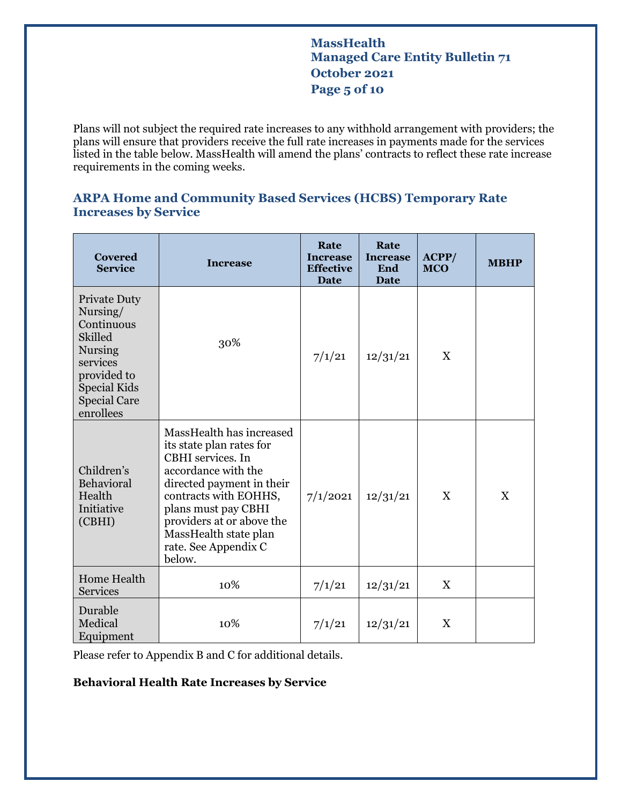# **MassHealth Managed Care Entity Bulletin 71 October 2021 Page 5 of 10**

Plans will not subject the required rate increases to any withhold arrangement with providers; the plans will ensure that providers receive the full rate increases in payments made for the services listed in the table below. MassHealth will amend the plans' contracts to reflect these rate increase requirements in the coming weeks.

### **ARPA Home and Community Based Services (HCBS) Temporary Rate Increases by Service**

| <b>Covered</b><br><b>Service</b>                                                                                                                                        | <b>Increase</b>                                                                                                                                                                                                                                                       | Rate<br><b>Increase</b><br><b>Effective</b><br><b>Date</b> | Rate<br><b>Increase</b><br>End<br><b>Date</b> | ACPP/<br><b>MCO</b> | <b>MBHP</b> |
|-------------------------------------------------------------------------------------------------------------------------------------------------------------------------|-----------------------------------------------------------------------------------------------------------------------------------------------------------------------------------------------------------------------------------------------------------------------|------------------------------------------------------------|-----------------------------------------------|---------------------|-------------|
| <b>Private Duty</b><br>Nursing/<br>Continuous<br><b>Skilled</b><br><b>Nursing</b><br>services<br>provided to<br><b>Special Kids</b><br><b>Special Care</b><br>enrollees | 30%                                                                                                                                                                                                                                                                   | 7/1/21                                                     | 12/31/21                                      | X                   |             |
| Children's<br>Behavioral<br>Health<br>Initiative<br>(CBHI)                                                                                                              | MassHealth has increased<br>its state plan rates for<br>CBHI services. In<br>accordance with the<br>directed payment in their<br>contracts with EOHHS,<br>plans must pay CBHI<br>providers at or above the<br>MassHealth state plan<br>rate. See Appendix C<br>below. | 7/1/2021                                                   | 12/31/21                                      | X                   | X           |
| Home Health<br><b>Services</b>                                                                                                                                          | 10%                                                                                                                                                                                                                                                                   | 7/1/21                                                     | 12/31/21                                      | $\mathbf X$         |             |
| Durable<br>Medical<br>Equipment                                                                                                                                         | 10%                                                                                                                                                                                                                                                                   | 7/1/21                                                     | 12/31/21                                      | X                   |             |

Please refer to Appendix B and C for additional details.

#### **Behavioral Health Rate Increases by Service**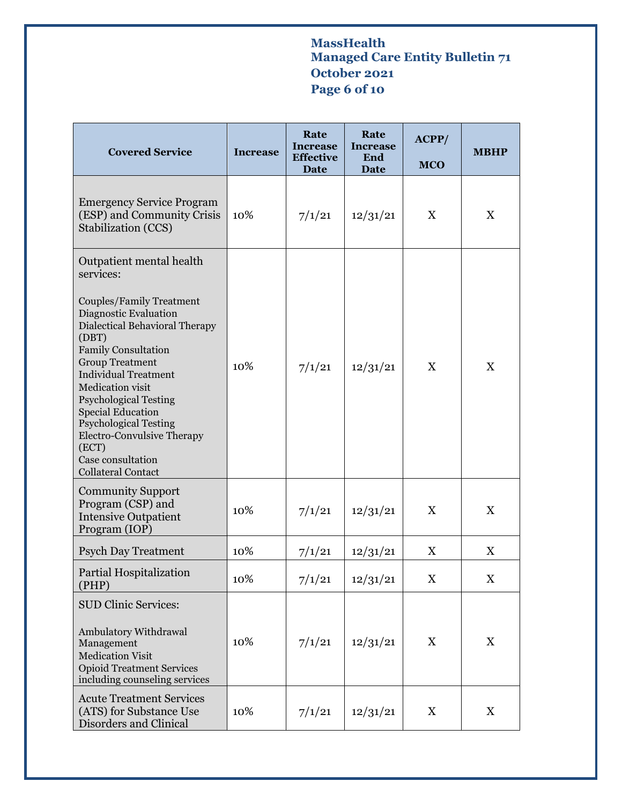# **MassHealth Managed Care Entity Bulletin 71 October 2021 Page 6 of 10**

| <b>Covered Service</b>                                                                                                                                                                                                                                                                                                                                                                                                                              | <b>Increase</b> | Rate<br><b>Increase</b><br><b>Effective</b><br>Date | Rate<br><b>Increase</b><br>End<br>Date | ACPP/<br><b>MCO</b>       | <b>MBHP</b>               |
|-----------------------------------------------------------------------------------------------------------------------------------------------------------------------------------------------------------------------------------------------------------------------------------------------------------------------------------------------------------------------------------------------------------------------------------------------------|-----------------|-----------------------------------------------------|----------------------------------------|---------------------------|---------------------------|
| <b>Emergency Service Program</b><br>(ESP) and Community Crisis<br><b>Stabilization (CCS)</b>                                                                                                                                                                                                                                                                                                                                                        | 10%             | 7/1/21                                              | 12/31/21                               | X                         | X                         |
| Outpatient mental health<br>services:<br>Couples/Family Treatment<br>Diagnostic Evaluation<br><b>Dialectical Behavioral Therapy</b><br>(DBT)<br><b>Family Consultation</b><br><b>Group Treatment</b><br><b>Individual Treatment</b><br>Medication visit<br><b>Psychological Testing</b><br><b>Special Education</b><br><b>Psychological Testing</b><br><b>Electro-Convulsive Therapy</b><br>(ECT)<br>Case consultation<br><b>Collateral Contact</b> | 10%             | 7/1/21                                              | 12/31/21                               | X                         | X                         |
| <b>Community Support</b><br>Program (CSP) and<br><b>Intensive Outpatient</b><br>Program (IOP)                                                                                                                                                                                                                                                                                                                                                       | 10%             | 7/1/21                                              | 12/31/21                               | X                         | X                         |
| <b>Psych Day Treatment</b>                                                                                                                                                                                                                                                                                                                                                                                                                          | 10%             | 7/1/21                                              | 12/31/21                               | X                         | X                         |
| Partial Hospitalization<br>(PHP)                                                                                                                                                                                                                                                                                                                                                                                                                    | 10%             | 7/1/21                                              | 12/31/21                               | X                         | X                         |
| <b>SUD Clinic Services:</b><br>Ambulatory Withdrawal<br>Management<br><b>Medication Visit</b><br><b>Opioid Treatment Services</b><br>including counseling services<br><b>Acute Treatment Services</b>                                                                                                                                                                                                                                               | 10%             | 7/1/21                                              | 12/31/21                               | $\boldsymbol{\mathrm{X}}$ | $\boldsymbol{\mathrm{X}}$ |
| (ATS) for Substance Use<br>Disorders and Clinical                                                                                                                                                                                                                                                                                                                                                                                                   | 10%             | 7/1/21                                              | 12/31/21                               | X                         | X                         |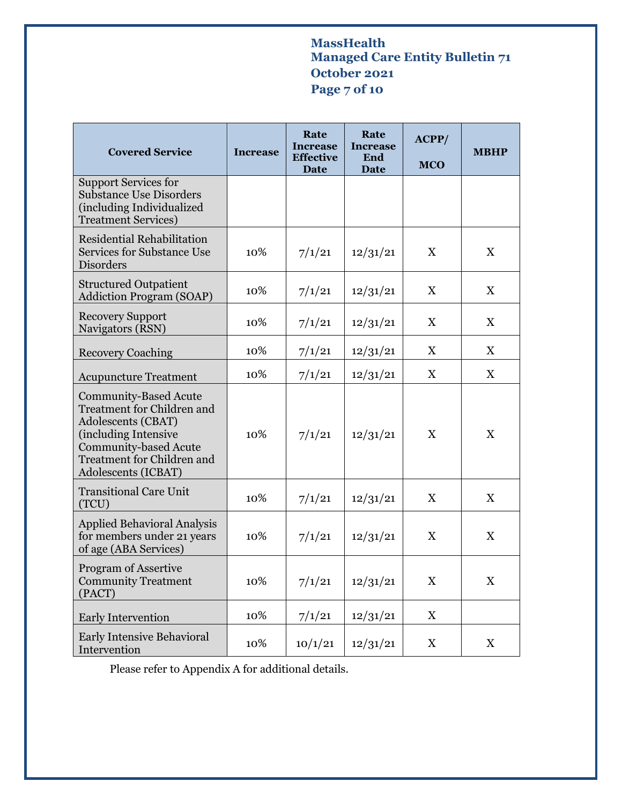# **MassHealth Managed Care Entity Bulletin 71 October 2021 Page 7 of 10**

| <b>Covered Service</b>                                                                                                                                                                               | <b>Increase</b> | Rate<br><b>Increase</b><br><b>Effective</b><br>Date | Rate<br><b>Increase</b><br>End<br><b>Date</b> | ACPP/<br><b>MCO</b>       | <b>MBHP</b>               |
|------------------------------------------------------------------------------------------------------------------------------------------------------------------------------------------------------|-----------------|-----------------------------------------------------|-----------------------------------------------|---------------------------|---------------------------|
| <b>Support Services for</b><br><b>Substance Use Disorders</b><br>(including Individualized<br><b>Treatment Services</b> )                                                                            |                 |                                                     |                                               |                           |                           |
| <b>Residential Rehabilitation</b><br><b>Services for Substance Use</b><br><b>Disorders</b>                                                                                                           | 10%             | 7/1/21                                              | 12/31/21                                      | X                         | X                         |
| <b>Structured Outpatient</b><br><b>Addiction Program (SOAP)</b>                                                                                                                                      | 10%             | 7/1/21                                              | 12/31/21                                      | $\boldsymbol{\mathrm{X}}$ | X                         |
| <b>Recovery Support</b><br>Navigators (RSN)                                                                                                                                                          | 10%             | 7/1/21                                              | 12/31/21                                      | X                         | X                         |
| <b>Recovery Coaching</b>                                                                                                                                                                             | 10%             | 7/1/21                                              | 12/31/21                                      | X                         | X                         |
| <b>Acupuncture Treatment</b>                                                                                                                                                                         | 10%             | 7/1/21                                              | 12/31/21                                      | X                         | X                         |
| <b>Community-Based Acute</b><br>Treatment for Children and<br>Adolescents (CBAT)<br>(including Intensive<br><b>Community-based Acute</b><br><b>Treatment for Children and</b><br>Adolescents (ICBAT) | 10%             | 7/1/21                                              | 12/31/21                                      | $\boldsymbol{\mathrm{X}}$ | X                         |
| <b>Transitional Care Unit</b><br>(TCU)                                                                                                                                                               | 10%             | 7/1/21                                              | 12/31/21                                      | $\boldsymbol{\mathrm{X}}$ | $\boldsymbol{\mathrm{X}}$ |
| <b>Applied Behavioral Analysis</b><br>for members under 21 years<br>of age (ABA Services)                                                                                                            | 10%             | 7/1/21                                              | 12/31/21                                      | $\boldsymbol{\mathrm{X}}$ | X                         |
| <b>Program of Assertive</b><br><b>Community Treatment</b><br>(PACT)                                                                                                                                  | 10%             | 7/1/21                                              | 12/31/21                                      | $\boldsymbol{\mathrm{X}}$ | $\mathbf X$               |
| Early Intervention                                                                                                                                                                                   | 10%             | 7/1/21                                              | 12/31/21                                      | $\boldsymbol{\mathrm{X}}$ |                           |
| <b>Early Intensive Behavioral</b><br>Intervention                                                                                                                                                    | 10%             | 10/1/21                                             | 12/31/21                                      | X                         | X                         |

Please refer to Appendix A for additional details.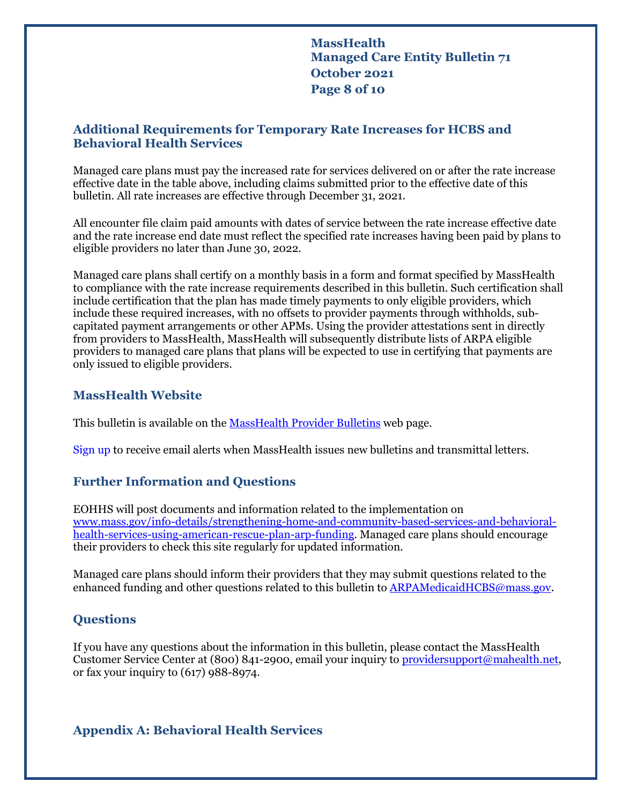**MassHealth Managed Care Entity Bulletin 71 October 2021 Page 8 of 10**

### **Additional Requirements for Temporary Rate Increases for HCBS and Behavioral Health Services**

Managed care plans must pay the increased rate for services delivered on or after the rate increase effective date in the table above, including claims submitted prior to the effective date of this bulletin. All rate increases are effective through December 31, 2021.

All encounter file claim paid amounts with dates of service between the rate increase effective date and the rate increase end date must reflect the specified rate increases having been paid by plans to eligible providers no later than June 30, 2022.

Managed care plans shall certify on a monthly basis in a form and format specified by MassHealth to compliance with the rate increase requirements described in this bulletin. Such certification shall include certification that the plan has made timely payments to only eligible providers, which include these required increases, with no offsets to provider payments through withholds, subcapitated payment arrangements or other APMs. Using the provider attestations sent in directly from providers to MassHealth, MassHealth will subsequently distribute lists of ARPA eligible providers to managed care plans that plans will be expected to use in certifying that payments are only issued to eligible providers.

### **MassHealth Website**

This bulletin is available on th[e MassHealth Provider Bulletins](http://www.mass.gov/masshealth-provider-bulletins) web page.

Sign up to receive email alerts when MassHealth issues new bulletins and transmittal letters.

### **Further Information and Questions**

EOHHS will post documents and information related to the implementation on [www.mass.gov/info-details/strengthening-home-and-community-based-services-and-behavioral](http://www.mass.gov/info-details/strengthening-home-and-community-based-services-and-behavioral-health-services-using-american-rescue-plan-arp-funding)[health-services-using-american-rescue-plan-arp-funding.](http://www.mass.gov/info-details/strengthening-home-and-community-based-services-and-behavioral-health-services-using-american-rescue-plan-arp-funding) Managed care plans should encourage their providers to check this site regularly for updated information.

Managed care plans should inform their providers that they may submit questions related to the enhanced funding and other questions related to this bulletin t[o ARPAMedicaidHCBS@mass.gov.](mailto:ARPAMedicaidHCBS@mass.gov)

### **Questions**

If you have any questions about the information in this bulletin, please contact the MassHealth Customer Service Center at (800) 841-2900, email your inquiry t[o providersupport@mahealth.net,](mailto:providersupport@mahealth.net) or fax your inquiry to (617) 988-8974.

**Appendix A: Behavioral Health Services**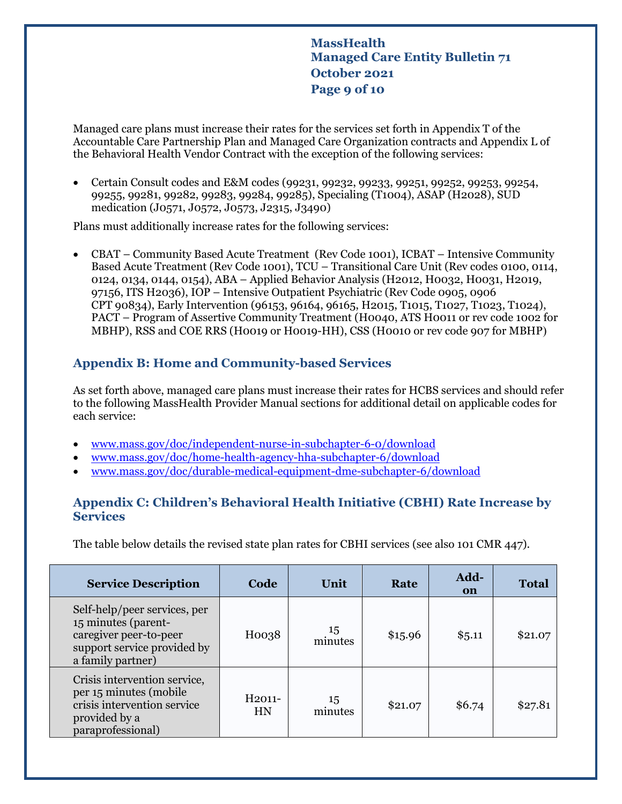**MassHealth Managed Care Entity Bulletin 71 October 2021 Page 9 of 10**

Managed care plans must increase their rates for the services set forth in Appendix T of the Accountable Care Partnership Plan and Managed Care Organization contracts and Appendix L of the Behavioral Health Vendor Contract with the exception of the following services:

• Certain Consult codes and E&M codes (99231, 99232, 99233, 99251, 99252, 99253, 99254, 99255, 99281, 99282, 99283, 99284, 99285), Specialing (T1004), ASAP (H2028), SUD medication (J0571, J0572, J0573, J2315, J3490)

Plans must additionally increase rates for the following services:

• CBAT – Community Based Acute Treatment (Rev Code 1001), ICBAT – Intensive Community Based Acute Treatment (Rev Code 1001), TCU – Transitional Care Unit (Rev codes 0100, 0114, 0124, 0134, 0144, 0154), ABA – Applied Behavior Analysis (H2012, H0032, H0031, H2019, 97156, ITS H2036), IOP – Intensive Outpatient Psychiatric (Rev Code 0905, 0906 CPT 90834), Early Intervention (96153, 96164, 96165, H2015, T1015, T1027, T1023, T1024), PACT – Program of Assertive Community Treatment (H0040, ATS H0011 or rev code 1002 for MBHP), RSS and COE RRS (H0019 or H0019-HH), CSS (H0010 or rev code 907 for MBHP)

# **Appendix B: Home and Community-based Services**

As set forth above, managed care plans must increase their rates for HCBS services and should refer to the following MassHealth Provider Manual sections for additional detail on applicable codes for each service:

- [www.mass.gov/doc/independent-nurse-in-subchapter-6-0/download](http://www.mass.gov/doc/independent-nurse-in-subchapter-6-0/download)
- [www.mass.gov/doc/home-health-agency-hha-subchapter-6/download](http://www.mass.gov/doc/home-health-agency-hha-subchapter-6/download)
- [www.mass.gov/doc/durable-medical-equipment-dme-subchapter-6/download](http://www.mass.gov/doc/durable-medical-equipment-dme-subchapter-6/download)

### **Appendix C: Children's Behavioral Health Initiative (CBHI) Rate Increase by Services**

The table below details the revised state plan rates for CBHI services (see also 101 CMR 447).

| <b>Service Description</b>                                                                                                        | Code                           | Unit          | Rate    | Add-<br>on | <b>Total</b> |
|-----------------------------------------------------------------------------------------------------------------------------------|--------------------------------|---------------|---------|------------|--------------|
| Self-help/peer services, per<br>15 minutes (parent-<br>caregiver peer-to-peer<br>support service provided by<br>a family partner) | H0038                          | 15<br>minutes | \$15.96 | \$5.11     | \$21.07      |
| Crisis intervention service,<br>per 15 minutes (mobile)<br>crisis intervention service<br>provided by a<br>paraprofessional)      | H <sub>2011</sub><br><b>HN</b> | 15<br>minutes | \$21.07 | \$6.74     | \$27.81      |